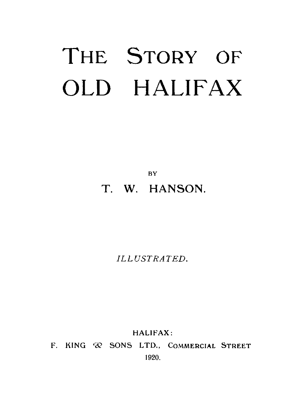# THE STORY OF OLD HALIFAX

**BY** T. W. HANSON.

*ILLUSTRATED.*

HALIFAX:

F. KING  $\oslash$  SONS LTD., COMMERCIAL STREET 1920.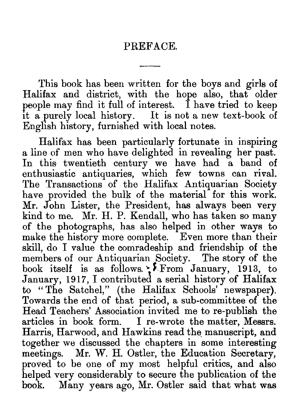# PREFACE.

This book has been written for the boys and girls of Halifax and district, with the hope also, that older people may find it full of interest. I have tried to keep it a purely local history. It is not a new text-book  $\alpha$ English history, furnished with local notes.

Halifax has been particularly fortunate in inspiring a line of men who have delighted in revealing her past. In this twentieth century we have had a band of enthusiastic antiquaries, which few towns can rival. The Transactions of the Halifax Antiquarian Society have provided the bulk of the material for this work. Mr. John Lister, the President, has always been very kind to me. Mr. H. P. Kendall, who has taken so many of the photographs, has also helped in other ways to make the history more complete. Even more than their skill, do I value the comradeship and friendship of the members of our Antiquarian Society. The story of the book itself is as follows. ; From January, 1913, to January, 1917, I contributed a serial history of Halifax to " The Satchel," (the Halifax Schools' newspaper). Towards the end of that period, a sub-committee of the Head Teachers' Association invited me to re-publish the articles in book form. I re-wrote the matter, Messrs. Harris, Harwood, and Hawkins read the manuscript, and together we discussed the chapters in some interesting meetings. Mr. W. H. Ostler, the Education Secretary, proved to be one of my most helpful critics, and also helped very considerably to secure the publication of the book. Many years ago, Mr. Ostler said that what was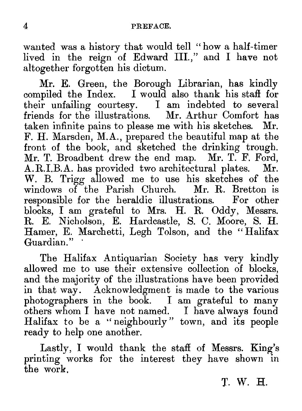PREFACE.<br>
wanted was a history that would<br>
lived in the reign of Edward<br>
altogether forgotten his dictum. wanted was a history that would tell " how a half-timer lived in the reign of Edward III.," and I have not altogether forgotten his dictum.

Mr. E. Green, the Borough Librarian, has kindly compiled the Index. I would also thank his staff for their unfailing courtesy. I am indebted to several friends for the illustrations. Mr. Arthur Comfort has taken infinite pains to please me with his sketches. Mr. F. H. Marsden, M.A., prepared the beautiful map at the front of the book, and sketched the drinking trough. Mr. T. Broadbent drew the end map. Mr. T. F. Ford, A. R. I. B. A. has provided two architectural plates. Mr. A.R.I.B.A. has provided two architectural plates. W. B. Trigg allowed me to use his sketches of the windows of the Parish Church. Mr. R. Bretton is responsible for the heraldic illustrations. For other blocks, I am grateful to Mrs. H. R. Oddy, Messrs. R. E. Nicholson, E. Hardcastle, S. C. Moore, S. H. Hamer, E. Marchetti, Legh Tolson, and the " Halifax Guardian."

The Halifax Antiquarian Society has very kindly allowed me to use their extensive collection of blocks and the majority of the illustrations have been provided in that way. Acknowledgment is made to the various photographers in the book. I am grateful to many others whom I have not named. I have always found Halifax to be a "neighbourly" town, and its people ready to help one another.

Lastly, I would thank the staff of Messrs. King's printing works for the interest they have shown in the work.

T. W. **H..**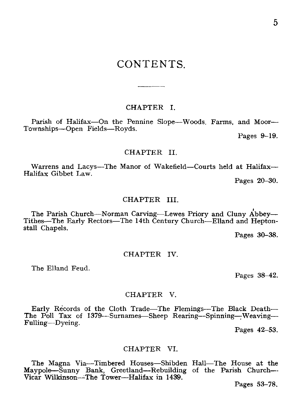# CONTENTS.

### CHAPTER I.

Parish of Halifax—On the Pennine Slope—Woods. Farms, and Moor-Townships—Open Fields—Royds.

Pages 9-19.

### CHAPTER II.

Warrens and Lacys—The Manor of Wakefield—Courts held at Halifax— Halifax Gibbet Law.

Pages 20-30.

### CHAPTER III.

The Parish Church—Norman Carving—Lewes Priory and Cluny Tithes—The Early Rectors—The 14th Century Church—Elland and Heptonstall Chapels.

Pages 30-38.

### CHAPTER IV.

The Elland Feud.

Pages 38-42.

### CHAPTER V.

Early Records of the Cloth Trade—The Flemings—The Black Death— The Poll Tax of 1379—Surnames—Sheep Rearing—Spinning—Weaving—<br>Fulling—Dveing.

Pages 42-53.

### CHAPTER VI.

The Magna Via—Timbered Houses—Shibden Hall—The House at the Maypole—Sunny Bank, Greetland—Rebuilding of the Parish Church— Vicar Wilkinson—The Tower—Halifax in 1439.

Pages 53-78.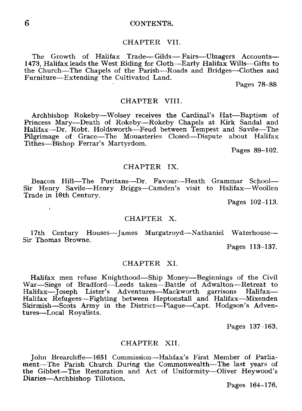### 6 CONTENTS.

### CHAPTER VII.

The Growth of Halifax Trade-Gilds-Fairs-Ulnagers Accounts-1473, Halifax leads the West Riding for Cloth—Early Halifax Wills—Gifts to the Church—The Chapels of the Parish—Roads and Bridges—Clothes and Furniture—Extending the Cultivated Land.

Pages 78-88

### CHAPTER VIII.

Archbishop Rokeby—Wolsey receives the Cardinal's Hat—Baptism of Princess Mary—Death of Rokeby—Rokeby Chapels at Kirk Sandal and Halifax—Dr. Robt. Holdsworth—Feud between Tempest and Savile—The Pilgrimage of Grace—The Monasteries Closed—Dispute about Halifax Tithes—Bishop Ferrar's Martyrdom.

Pages 89-102.

### CHAPTER IX.

Beacon Hill—The Puritans—Dr. Favour—Heath Grammar School— Sir Henry Savile—Henry Briggs—Camden's visit to Halifax—Woollen Trade in 16th Century.

Pages 102-113.

### CHAPTER X.

17th Century Houses—James Murgatroyd—Nathaniel Waterhouse— Sir Thomas Browne.

Pages 113-137.

### CHAPTER XI.

Halifax men refuse Knighthood—Ship Money—Beginnings of the Civil War—Siege of Bradford—Leeds taken—Battle of Adwalton—Retreat to Halifax—Joseph Lister's Adventures—Mackworth garrisons Halifax— Halifax Refugees—Fighting between Heptonstall and Halifax—Mixenden Skirmish—Scots Army in the District—Plague—Capt. Hodgson's Adventures—Local Royalists. Halifax men refuse Knighth<br>
War—Siege of Bradford—Lee<br>
Halifax—Joseph Lister's Ad<br>
Halifax Refugees—Fighting be<br>
Skirmish—Scots Army in the<br>
tures—Local Royalists.<br>
C<br>
John Brearcliffe—1651 Com<br>
ment—The Parish Church Du<br>

Pages 137-163.

### CHAPTER XII.

John Brearcliffe-1651 Commission—Halifax's First Member of Parliament—The Parish Church During the Commonwealth—The last years of the Gibbet—The Restoration and Act of Uniformity—Oliver Heywood's

Pages 164-176.

 $\mathbf{I}$